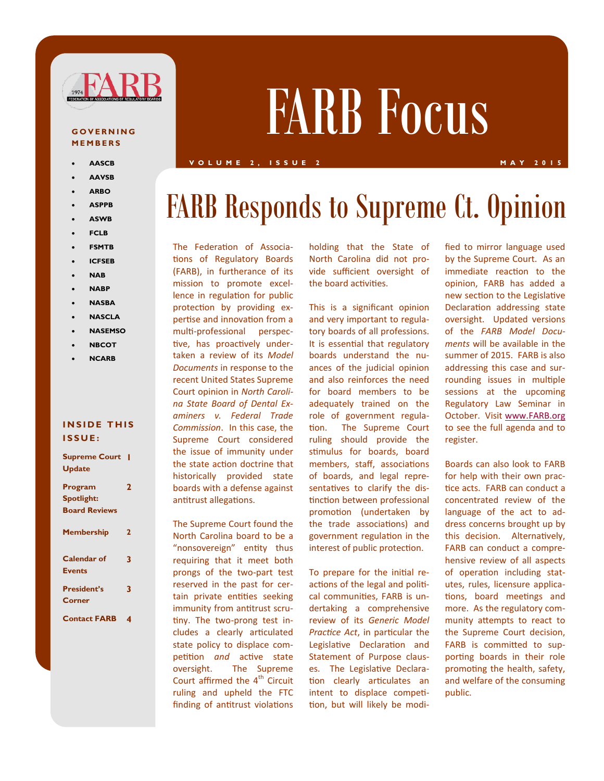

#### **G O V E R N I N G M E M B E R S**

- **AASCB**
- **AAVSB**
- **ARBO**
- **ASPPB**
- **ASWB**
- **FCLB**
- **FSMTB**
- **ICFSEB**
- **NAB**
- **NABP**
- **NASBA**
- **NASCLA**
- **NASEMSO**
- **NBCOT**
- **NCARB**

#### **INSIDE THIS I S S U E :**

| <b>Supreme Court</b> |   |
|----------------------|---|
| <b>Update</b>        |   |
| Program              | 2 |
| <b>Spotlight:</b>    |   |
| <b>Board Reviews</b> |   |
| <b>Membership</b>    | 2 |
| Calendar of          | 3 |
| <b>Events</b>        |   |
| <b>President's</b>   | 3 |
| Corner               |   |
| <b>Contact FARB</b>  | 4 |

# FARB Focus

#### **V O L U M E 2 , I S S U E 2 M A Y 2 0 1 5**

## FARB Responds to Supreme Ct. Opinion

The Federation of Associations of Regulatory Boards (FARB), in furtherance of its mission to promote excellence in regulation for public protection by providing expertise and innovation from a multi-professional perspective, has proactively undertaken a review of its *Model Documents* in response to the recent United States Supreme Court opinion in *North Carolina State Board of Dental Examiners v. Federal Trade Commission*. In this case, the Supreme Court considered the issue of immunity under the state action doctrine that historically provided state boards with a defense against antitrust allegations.

The Supreme Court found the North Carolina board to be a "nonsovereign" entity thus requiring that it meet both prongs of the two-part test reserved in the past for certain private entities seeking immunity from antitrust scrutiny. The two-prong test includes a clearly articulated state policy to displace competition *and* active state oversight. The Supreme Court affirmed the  $4<sup>th</sup>$  Circuit ruling and upheld the FTC finding of antitrust violations

holding that the State of North Carolina did not provide sufficient oversight of the board activities.

This is a significant opinion and very important to regulatory boards of all professions. It is essential that regulatory boards understand the nuances of the judicial opinion and also reinforces the need for board members to be adequately trained on the role of government regulation. The Supreme Court ruling should provide the stimulus for boards, board members, staff, associations of boards, and legal representatives to clarify the distinction between professional promotion (undertaken by the trade associations) and government regulation in the interest of public protection.

To prepare for the initial reactions of the legal and political communities, FARB is undertaking a comprehensive review of its *Generic Model Practice Act*, in particular the Legislative Declaration and Statement of Purpose clauses. The Legislative Declaration clearly articulates an intent to displace competition, but will likely be modified to mirror language used by the Supreme Court. As an immediate reaction to the opinion, FARB has added a new section to the Legislative Declaration addressing state oversight. Updated versions of the *FARB Model Documents* will be available in the summer of 2015. FARB is also addressing this case and surrounding issues in multiple sessions at the upcoming Regulatory Law Seminar in October. Visit [www.FARB.org](http://www.FARB.org) to see the full agenda and to register.

Boards can also look to FARB for help with their own practice acts. FARB can conduct a concentrated review of the language of the act to address concerns brought up by this decision. Alternatively, FARB can conduct a comprehensive review of all aspects of operation including statutes, rules, licensure applications, board meetings and more. As the regulatory community attempts to react to the Supreme Court decision, FARB is committed to supporting boards in their role promoting the health, safety, and welfare of the consuming public.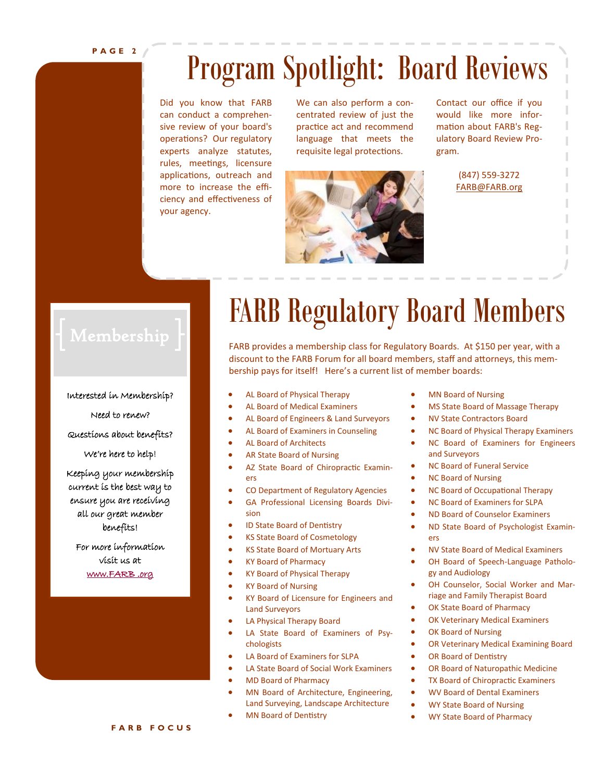## Program Spotlight: Board Reviews

Did you know that FARB can conduct a comprehensive review of your board's operations? Our regulatory experts analyze statutes, rules, meetings, licensure applications, outreach and more to increase the efficiency and effectiveness of your agency.

We can also perform a concentrated review of just the practice act and recommend language that meets the requisite legal protections.



Contact our office if you would like more information about FARB's Regulatory Board Review Program.

> (847) 559-3272 [FARB@FARB.org](mailto:farb@farb.org)

#### Interested in Membership?

Need to renew?

Questions about benefits?

We're here to help!

Keeping your membership current is the best way to ensure you are receiving all our great member benefits!

For more information visit us at [www.FARB .org](http://www.farb.org/) 

## FARB Regulatory Board Members

FARB provides a membership class for Regulatory Boards. At \$150 per year, with a discount to the FARB Forum for all board members, staff and attorneys, this membership pays for itself! Here's a current list of member boards:

- AL Board of Physical Therapy
- AL Board of Medical Examiners
- AL Board of Engineers & Land Surveyors
- AL Board of Examiners in Counseling
- AL Board of Architects
- AR State Board of Nursing
- AZ State Board of Chiropractic Examiners
- CO Department of Regulatory Agencies
- GA Professional Licensing Boards Division
- ID State Board of Dentistry
- KS State Board of Cosmetology
- KS State Board of Mortuary Arts
- KY Board of Pharmacy
- KY Board of Physical Therapy
- KY Board of Nursing
- KY Board of Licensure for Engineers and Land Surveyors
- LA Physical Therapy Board
- LA State Board of Examiners of Psychologists
- LA Board of Examiners for SLPA
- LA State Board of Social Work Examiners
- MD Board of Pharmacy
- MN Board of Architecture, Engineering, Land Surveying, Landscape Architecture
- MN Board of Dentistry
- MN Board of Nursing
- MS State Board of Massage Therapy
- NV State Contractors Board
- NC Board of Physical Therapy Examiners
- NC Board of Examiners for Engineers and Surveyors
- NC Board of Funeral Service
- NC Board of Nursing
- NC Board of Occupational Therapy
- NC Board of Examiners for SLPA
- ND Board of Counselor Examiners
- ND State Board of Psychologist Examiners
- NV State Board of Medical Examiners
- OH Board of Speech-Language Pathology and Audiology
- OH Counselor, Social Worker and Marriage and Family Therapist Board
- OK State Board of Pharmacy
- OK Veterinary Medical Examiners
- OK Board of Nursing
- OR Veterinary Medical Examining Board
- OR Board of Dentistry
- OR Board of Naturopathic Medicine
- TX Board of Chiropractic Examiners
- WV Board of Dental Examiners
- WY State Board of Nursing
- WY State Board of Pharmacy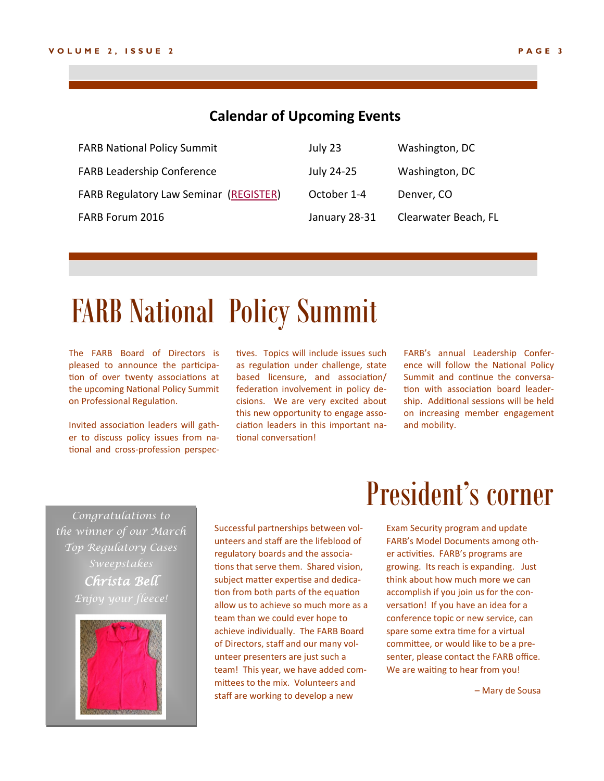#### **Calendar of Upcoming Events**

| <b>FARB National Policy Summit</b>            | July 23       | Washington, DC       |
|-----------------------------------------------|---------------|----------------------|
| <b>FARB Leadership Conference</b>             | July 24-25    | Washington, DC       |
| <b>FARB Regulatory Law Seminar (REGISTER)</b> | October 1-4   | Denver, CO           |
| FARB Forum 2016                               | January 28-31 | Clearwater Beach, FL |

## FARB National Policy Summit

The FARB Board of Directors is pleased to announce the participation of over twenty associations at the upcoming National Policy Summit on Professional Regulation.

Invited association leaders will gather to discuss policy issues from national and cross-profession perspectives. Topics will include issues such as regulation under challenge, state based licensure, and association/ federation involvement in policy decisions. We are very excited about this new opportunity to engage association leaders in this important national conversation!

FARB's annual Leadership Conference will follow the National Policy Summit and continue the conversation with association board leadership. Additional sessions will be held on increasing member engagement and mobility.

*Congratulations to the winner of our March Top Regulatory Cases Christa Bell*



Successful partnerships between volunteers and staff are the lifeblood of regulatory boards and the associations that serve them. Shared vision, subject matter expertise and dedication from both parts of the equation allow us to achieve so much more as a team than we could ever hope to achieve individually. The FARB Board of Directors, staff and our many volunteer presenters are just such a team! This year, we have added committees to the mix. Volunteers and staff are working to develop a new

## President's corner

Exam Security program and update FARB's Model Documents among other activities. FARB's programs are growing. Its reach is expanding. Just think about how much more we can accomplish if you join us for the conversation! If you have an idea for a conference topic or new service, can spare some extra time for a virtual committee, or would like to be a presenter, please contact the FARB office. We are waiting to hear from you!

– Mary de Sousa